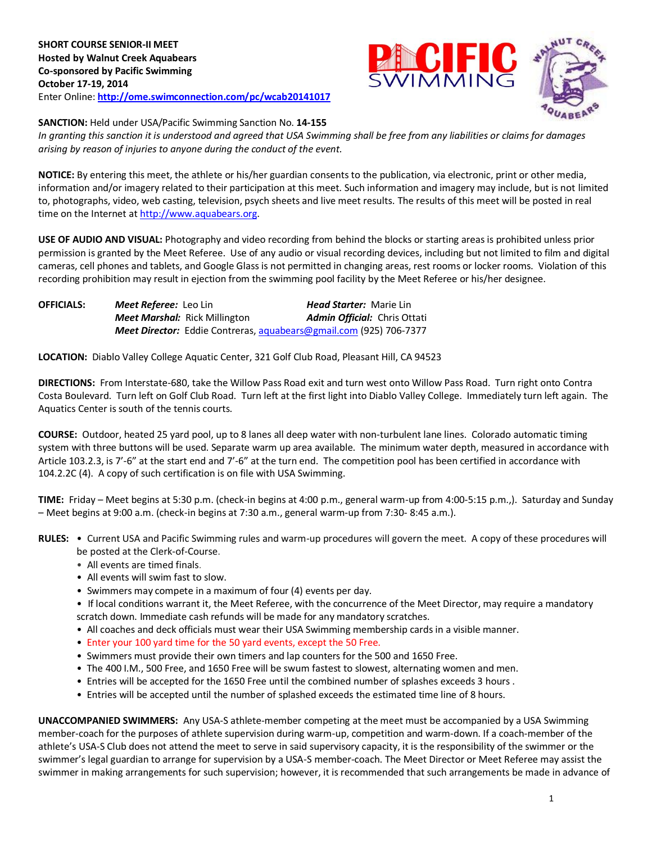

## **SANCTION:** Held under USA/Pacific Swimming Sanction No. **14-155**

*In granting this sanction it is understood and agreed that USA Swimming shall be free from any liabilities or claims for damages arising by reason of injuries to anyone during the conduct of the event.*

**NOTICE:** By entering this meet, the athlete or his/her guardian consents to the publication, via electronic, print or other media, information and/or imagery related to their participation at this meet. Such information and imagery may include, but is not limited to, photographs, video, web casting, television, psych sheets and live meet results. The results of this meet will be posted in real time on the Internet a[t http://www.aquabears.org.](http://www.aquabears.org/)

**USE OF AUDIO AND VISUAL:** Photography and video recording from behind the blocks or starting areas is prohibited unless prior permission is granted by the Meet Referee. Use of any audio or visual recording devices, including but not limited to film and digital cameras, cell phones and tablets, and Google Glass is not permitted in changing areas, rest rooms or locker rooms. Violation of this recording prohibition may result in ejection from the swimming pool facility by the Meet Referee or his/her designee.

**OFFICIALS:** *Meet Referee:* Leo Lin *Head Starter:* Marie Lin *Meet Marshal:* Rick Millington *Admin Official:* Chris Ottati *Meet Director:* Eddie Contreras[, aquabears@gmail.com](file:///C:/Users/Todd/Desktop/aquabears@gmail.com) (925) 706-7377

**LOCATION:** Diablo Valley College Aquatic Center, 321 Golf Club Road, Pleasant Hill, CA 94523

**DIRECTIONS:** From Interstate-680, take the Willow Pass Road exit and turn west onto Willow Pass Road. Turn right onto Contra Costa Boulevard. Turn left on Golf Club Road. Turn left at the first light into Diablo Valley College. Immediately turn left again. The Aquatics Center is south of the tennis courts.

**COURSE:** Outdoor, heated 25 yard pool, up to 8 lanes all deep water with non-turbulent lane lines. Colorado automatic timing system with three buttons will be used. Separate warm up area available. The minimum water depth, measured in accordance with Article 103.2.3, is 7'-6" at the start end and 7'-6" at the turn end. The competition pool has been certified in accordance with 104.2.2C (4). A copy of such certification is on file with USA Swimming.

**TIME:** Friday – Meet begins at 5:30 p.m. (check-in begins at 4:00 p.m., general warm-up from 4:00-5:15 p.m.,). Saturday and Sunday – Meet begins at 9:00 a.m. (check-in begins at 7:30 a.m., general warm-up from 7:30- 8:45 a.m.).

- **RULES:** Current USA and Pacific Swimming rules and warm-up procedures will govern the meet. A copy of these procedures will be posted at the Clerk-of-Course.
	- All events are timed finals.
	- All events will swim fast to slow.
	- Swimmers may compete in a maximum of four (4) events per day.
	- If local conditions warrant it, the Meet Referee, with the concurrence of the Meet Director, may require a mandatory scratch down. Immediate cash refunds will be made for any mandatory scratches.
	- All coaches and deck officials must wear their USA Swimming membership cards in a visible manner.
	- Enter your 100 yard time for the 50 yard events, except the 50 Free.
	- Swimmers must provide their own timers and lap counters for the 500 and 1650 Free.
	- The 400 I.M., 500 Free, and 1650 Free will be swum fastest to slowest, alternating women and men.
	- Entries will be accepted for the 1650 Free until the combined number of splashes exceeds 3 hours .
	- Entries will be accepted until the number of splashed exceeds the estimated time line of 8 hours.

**UNACCOMPANIED SWIMMERS:** Any USA-S athlete-member competing at the meet must be accompanied by a USA Swimming member-coach for the purposes of athlete supervision during warm-up, competition and warm-down. If a coach-member of the athlete's USA-S Club does not attend the meet to serve in said supervisory capacity, it is the responsibility of the swimmer or the swimmer's legal guardian to arrange for supervision by a USA-S member-coach. The Meet Director or Meet Referee may assist the swimmer in making arrangements for such supervision; however, it is recommended that such arrangements be made in advance of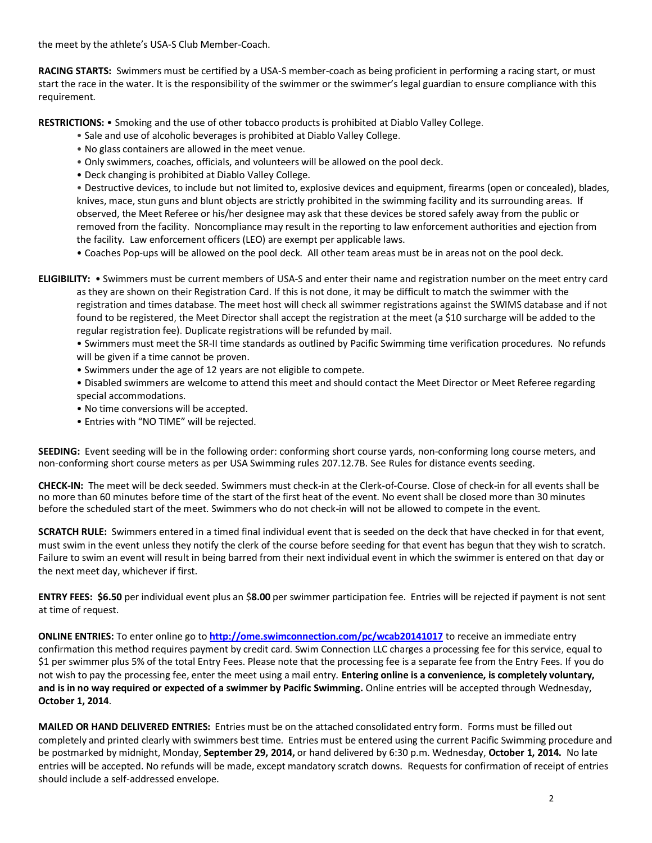the meet by the athlete's USA-S Club Member-Coach.

**RACING STARTS:** Swimmers must be certified by a USA-S member-coach as being proficient in performing a racing start, or must start the race in the water. It is the responsibility of the swimmer or the swimmer's legal guardian to ensure compliance with this requirement.

**RESTRICTIONS:** • Smoking and the use of other tobacco products is prohibited at Diablo Valley College.

- Sale and use of alcoholic beverages is prohibited at Diablo Valley College.
- No glass containers are allowed in the meet venue.
- Only swimmers, coaches, officials, and volunteers will be allowed on the pool deck.
- Deck changing is prohibited at Diablo Valley College.

• Destructive devices, to include but not limited to, explosive devices and equipment, firearms (open or concealed), blades, knives, mace, stun guns and blunt objects are strictly prohibited in the swimming facility and its surrounding areas. If observed, the Meet Referee or his/her designee may ask that these devices be stored safely away from the public or removed from the facility. Noncompliance may result in the reporting to law enforcement authorities and ejection from the facility. Law enforcement officers (LEO) are exempt per applicable laws.

• Coaches Pop-ups will be allowed on the pool deck. All other team areas must be in areas not on the pool deck.

**ELIGIBILITY:** • Swimmers must be current members of USA-S and enter their name and registration number on the meet entry card as they are shown on their Registration Card. If this is not done, it may be difficult to match the swimmer with the registration and times database. The meet host will check all swimmer registrations against the SWIMS database and if not found to be registered, the Meet Director shall accept the registration at the meet (a \$10 surcharge will be added to the regular registration fee). Duplicate registrations will be refunded by mail.

• Swimmers must meet the SR-II time standards as outlined by Pacific Swimming time verification procedures. No refunds will be given if a time cannot be proven.

- Swimmers under the age of 12 years are not eligible to compete.
- Disabled swimmers are welcome to attend this meet and should contact the Meet Director or Meet Referee regarding special accommodations.
- No time conversions will be accepted.
- Entries with "NO TIME" will be rejected.

**SEEDING:** Event seeding will be in the following order: conforming short course yards, non-conforming long course meters, and non-conforming short course meters as per USA Swimming rules 207.12.7B. See Rules for distance events seeding.

**CHECK-IN:** The meet will be deck seeded. Swimmers must check-in at the Clerk-of-Course. Close of check-in for all events shall be no more than 60 minutes before time of the start of the first heat of the event. No event shall be closed more than 30 minutes before the scheduled start of the meet. Swimmers who do not check-in will not be allowed to compete in the event.

**SCRATCH RULE:** Swimmers entered in a timed final individual event that is seeded on the deck that have checked in for that event, must swim in the event unless they notify the clerk of the course before seeding for that event has begun that they wish to scratch. Failure to swim an event will result in being barred from their next individual event in which the swimmer is entered on that day or the next meet day, whichever if first.

**ENTRY FEES: \$6.50** per individual event plus an \$**8.00** per swimmer participation fee. Entries will be rejected if payment is not sent at time of request.

**ONLINE ENTRIES:** To enter online go to **<http://ome.swimconnection.com/pc/wcab20141017>** to receive an immediate entry confirmation this method requires payment by credit card. Swim Connection LLC charges a processing fee for this service, equal to \$1 per swimmer plus 5% of the total Entry Fees. Please note that the processing fee is a separate fee from the Entry Fees. If you do not wish to pay the processing fee, enter the meet using a mail entry. **Entering online is a convenience, is completely voluntary, and is in no way required or expected of a swimmer by Pacific Swimming.** Online entries will be accepted through Wednesday, **October 1, 2014**.

**MAILED OR HAND DELIVERED ENTRIES:** Entries must be on the attached consolidated entry form. Forms must be filled out completely and printed clearly with swimmers best time. Entries must be entered using the current Pacific Swimming procedure and be postmarked by midnight, Monday, **September 29, 2014,** or hand delivered by 6:30 p.m. Wednesday, **October 1, 2014.** No late entries will be accepted. No refunds will be made, except mandatory scratch downs. Requests for confirmation of receipt of entries should include a self-addressed envelope.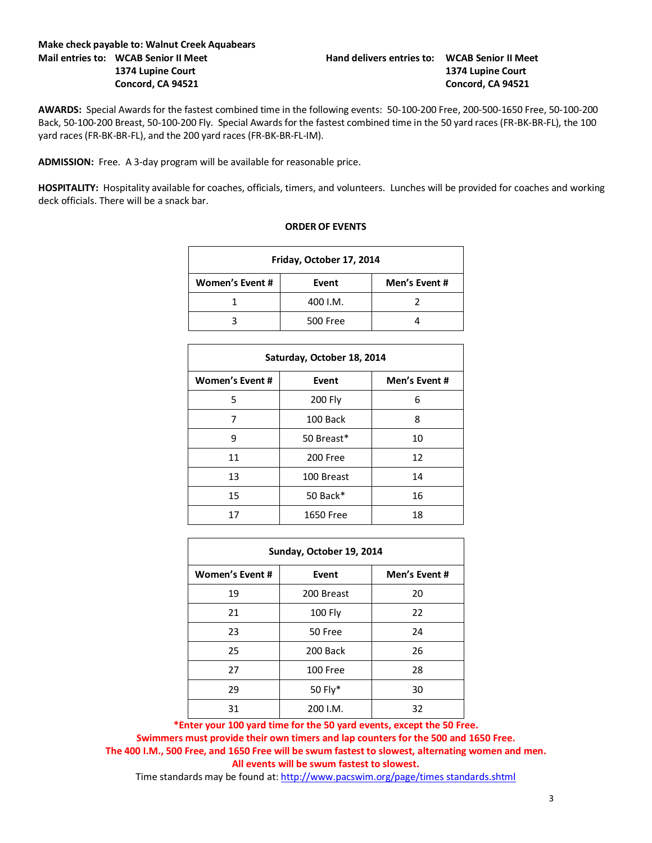## **Make check payable to: Walnut Creek Aquabears Mail entries to: WCAB Senior II Meet Hand delivers entries to: WCAB Senior II Meet**

**AWARDS:** Special Awards for the fastest combined time in the following events: 50-100-200 Free, 200-500-1650 Free, 50-100-200 Back, 50-100-200 Breast, 50-100-200 Fly. Special Awards for the fastest combined time in the 50 yard races (FR-BK-BR-FL), the 100 yard races (FR-BK-BR-FL), and the 200 yard races (FR-BK-BR-FL-IM).

**ADMISSION:** Free. A 3-day program will be available for reasonable price.

**HOSPITALITY:** Hospitality available for coaches, officials, timers, and volunteers. Lunches will be provided for coaches and working deck officials. There will be a snack bar.

| Friday, October 17, 2014 |          |               |  |  |  |  |  |
|--------------------------|----------|---------------|--|--|--|--|--|
| Women's Event #          | Event    | Men's Event # |  |  |  |  |  |
|                          | 400 I.M. |               |  |  |  |  |  |
|                          | 500 Free |               |  |  |  |  |  |

| Saturday, October 18, 2014 |                  |               |  |  |  |  |  |
|----------------------------|------------------|---------------|--|--|--|--|--|
| <b>Women's Event #</b>     | Event            | Men's Event # |  |  |  |  |  |
| 5                          | 200 Fly          | 6             |  |  |  |  |  |
| 7                          | 100 Back         | 8             |  |  |  |  |  |
| 9                          | 50 Breast*       | 10            |  |  |  |  |  |
| 11                         | 200 Free         | 12            |  |  |  |  |  |
| 13                         | 100 Breast       | 14            |  |  |  |  |  |
| 15                         | 50 Back*         | 16            |  |  |  |  |  |
| 17                         | <b>1650 Free</b> | 18            |  |  |  |  |  |

| Sunday, October 19, 2014 |            |               |  |  |  |  |  |
|--------------------------|------------|---------------|--|--|--|--|--|
| <b>Women's Event #</b>   | Event      | Men's Event # |  |  |  |  |  |
| 19                       | 200 Breast | 20            |  |  |  |  |  |
| 21                       | 100 Fly    | 22            |  |  |  |  |  |
| 23                       | 50 Free    | 24            |  |  |  |  |  |
| 25                       | 200 Back   | 26            |  |  |  |  |  |
| 27                       | 100 Free   | 28            |  |  |  |  |  |
| 29                       | 50 Fly*    | 30            |  |  |  |  |  |
| 31                       | 200 I.M.   | 32            |  |  |  |  |  |

**\*Enter your 100 yard time for the 50 yard events, except the 50 Free.**

**Swimmers must provide their own timers and lap counters for the 500 and 1650 Free. The 400 I.M., 500 Free, and 1650 Free will be swum fastest to slowest, alternating women and men. All events will be swum fastest to slowest.**

Time standards may be found at: [http://www.pacswim.org/page/times standards.shtml](http://www.pacswim.org/page/times%20standards.shtml)

## **ORDER OF EVENTS**